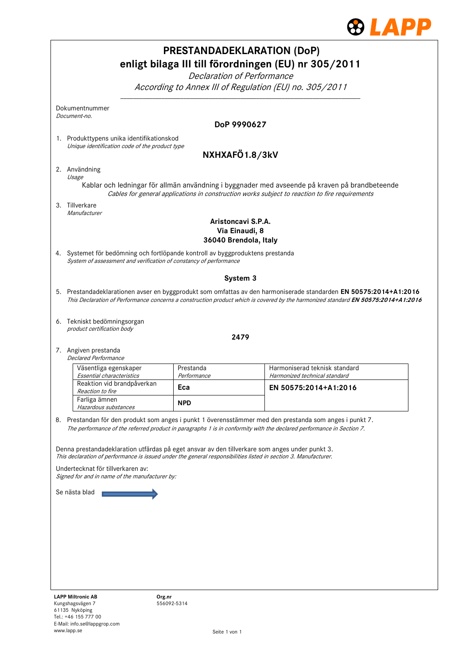

|    |                                                                                                                                                                                                                   |                          | <b>PRESTANDADEKLARATION (DoP)</b>                                                                                                 |
|----|-------------------------------------------------------------------------------------------------------------------------------------------------------------------------------------------------------------------|--------------------------|-----------------------------------------------------------------------------------------------------------------------------------|
|    |                                                                                                                                                                                                                   |                          | enligt bilaga III till förordningen (EU) nr 305/2011                                                                              |
|    |                                                                                                                                                                                                                   |                          | Declaration of Performance                                                                                                        |
|    |                                                                                                                                                                                                                   |                          | According to Annex III of Regulation (EU) no. 305/2011                                                                            |
|    | Dokumentnummer<br>Document-no.                                                                                                                                                                                    |                          |                                                                                                                                   |
|    |                                                                                                                                                                                                                   |                          | DoP 9990627                                                                                                                       |
|    | 1. Produkttypens unika identifikationskod<br>Unique identification code of the product type                                                                                                                       |                          |                                                                                                                                   |
|    |                                                                                                                                                                                                                   |                          | NXHXAFÖ1.8/3kV                                                                                                                    |
|    | 2. Användning                                                                                                                                                                                                     |                          |                                                                                                                                   |
|    | Usage                                                                                                                                                                                                             |                          | Kablar och ledningar för allmän användning i byggnader med avseende på kraven på brandbeteende                                    |
|    | 3. Tillverkare                                                                                                                                                                                                    |                          | Cables for general applications in construction works subject to reaction to fire requirements                                    |
|    | Manufacturer                                                                                                                                                                                                      |                          | Aristoncavi S.P.A.                                                                                                                |
|    |                                                                                                                                                                                                                   |                          | Via Einaudi, 8<br>36040 Brendola, Italy                                                                                           |
|    | 4. Systemet för bedömning och fortlöpande kontroll av byggproduktens prestanda<br>System of assessment and verification of constancy of performance                                                               |                          |                                                                                                                                   |
|    |                                                                                                                                                                                                                   |                          | System 3                                                                                                                          |
|    |                                                                                                                                                                                                                   |                          | 5. Prestandadeklarationen avser en byggprodukt som omfattas av den harmoniserade standarden EN 50575:2014+A1:2016                 |
|    |                                                                                                                                                                                                                   |                          | This Declaration of Performance concerns a construction product which is covered by the harmonized standard EN 50575:2014+A1:2016 |
|    | 6. Tekniskt bedömningsorgan<br>product certification body                                                                                                                                                         |                          |                                                                                                                                   |
|    |                                                                                                                                                                                                                   |                          | 2479                                                                                                                              |
|    | 7. Angiven prestanda<br><b>Declared Performance</b>                                                                                                                                                               |                          |                                                                                                                                   |
|    | Väsentliga egenskaper<br>Essential characteristics                                                                                                                                                                | Prestanda<br>Performance | Harmoniserad teknisk standard<br>Harmonized technical standard                                                                    |
|    | Reaktion vid brandpåverkan                                                                                                                                                                                        | Eca                      | EN 50575:2014+A1:2016                                                                                                             |
|    | Reaction to fire<br>Farliga ämnen<br>Hazardous substances                                                                                                                                                         | <b>NPD</b>               |                                                                                                                                   |
| 8. |                                                                                                                                                                                                                   |                          | Prestandan för den produkt som anges i punkt 1 överensstämmer med den prestanda som anges i punkt 7.                              |
|    |                                                                                                                                                                                                                   |                          | The performance of the referred product in paragraphs 1 is in conformity with the declared performance in Section 7.              |
|    | Denna prestandadeklaration utfärdas på eget ansvar av den tillverkare som anges under punkt 3.<br>This declaration of performance is issued under the general responsibilities listed in section 3. Manufacturer. |                          |                                                                                                                                   |
|    | Undertecknat för tillverkaren av:                                                                                                                                                                                 |                          |                                                                                                                                   |
|    | Signed for and in name of the manufacturer by:                                                                                                                                                                    |                          |                                                                                                                                   |
|    | Se nästa blad                                                                                                                                                                                                     |                          |                                                                                                                                   |
|    |                                                                                                                                                                                                                   |                          |                                                                                                                                   |
|    |                                                                                                                                                                                                                   |                          |                                                                                                                                   |
|    |                                                                                                                                                                                                                   |                          |                                                                                                                                   |
|    |                                                                                                                                                                                                                   |                          |                                                                                                                                   |
|    |                                                                                                                                                                                                                   |                          |                                                                                                                                   |
|    | <b>LAPP Miltronic AB</b>                                                                                                                                                                                          |                          |                                                                                                                                   |
|    | Org.nr<br>Kungshagsvägen 7                                                                                                                                                                                        | 556092-5314              |                                                                                                                                   |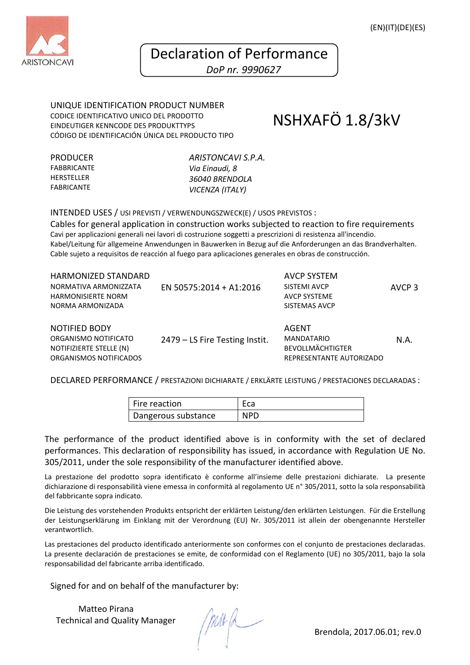

## Declaration of Performance

 *DoP nr. 9990627* 

UNIQUE IDENTIFICATION PRODUCT NUMBER CODICE IDENTIFICATIVO UNICO DEL PRODOTTO EINDEUTIGER KENNCODE DES PRODUKTTYPS CÓDIGO DE IDENTIFICACIÓN ÚNICA DEL PRODUCTO TIPO

NSHXAFÖ 1.8/3kV

PRODUCER FABBRICANTE **HERSTELLER** FABRICANTE

*ARISTONCAVI S.P.A. Via Einaudi, 8 36040 BRENDOLA VICENZA (ITALY)*

INTENDED USES / USI PREVISTI / VERWENDUNGSZWECK(E) / USOS PREVISTOS :

Cables for general application in construction works subjected to reaction to fire requirements Cavi per applicazioni generali nei lavori di costruzione soggetti a prescrizioni di resistenza all'incendio. Kabel/Leitung für allgemeine Anwendungen in Bauwerken in Bezug auf die Anforderungen an das Brandverhalten. Cable sujeto a requisitos de reacción al fuego para aplicaciones generales en obras de construcción.

| <b>HARMONIZED STANDARD</b><br>NORMATIVA ARMONIZZATA<br><b>HARMONISIERTE NORM</b><br>NORMA ARMONIZADA | EN 50575:2014 + A1:2016        | AVCP SYSTEM<br>SISTEMI AVCP<br><b>AVCP SYSTEME</b><br>SISTEMAS AVCP                      | AVCP <sub>3</sub> |
|------------------------------------------------------------------------------------------------------|--------------------------------|------------------------------------------------------------------------------------------|-------------------|
| <b>NOTIFIED BODY</b><br>ORGANISMO NOTIFICATO<br>NOTIFIZIERTE STELLE (N)<br>ORGANISMOS NOTIFICADOS    | 2479 – LS Fire Testing Instit. | <b>AGENT</b><br><b>MANDATARIO</b><br><b>BEVOLLMÄCHTIGTER</b><br>REPRESENTANTE AUTORIZADO | N.A.              |

DECLARED PERFORMANCE / PRESTAZIONI DICHIARATE / ERKLӒRTE LEISTUNG / PRESTACIONES DECLARADAS :

| Fire reaction       |     |
|---------------------|-----|
| Dangerous substance | NPD |

The performance of the product identified above is in conformity with the set of declared performances. This declaration of responsibility has issued, in accordance with Regulation UE No. 305/2011, under the sole responsibility of the manufacturer identified above.

La prestazione del prodotto sopra identificato è conforme all'insieme delle prestazioni dichiarate. La presente dichiarazione di responsabilità viene emessa in conformità al regolamento UE n° 305/2011, sotto la sola responsabilità del fabbricante sopra indicato.

Die Leistung des vorstehenden Produkts entspricht der erklӓrten Leistung/den erklӓrten Leistungen. Für die Erstellung der Leistungserklӓrung im Einklang mit der Verordnung (EU) Nr. 305/2011 ist allein der obengenannte Hersteller verantwortlich.

Las prestaciones del producto identificado anteriormente son conformes con el conjunto de prestaciones declaradas. La presente declaración de prestaciones se emite, de conformidad con el Reglamento (UE) no 305/2011, bajo la sola responsabilidad del fabricante arriba identificado.

Signed for and on behalf of the manufacturer by:

Matteo Pirana Technical and Quality Manager

Brendola, 2017.06.01; rev.0